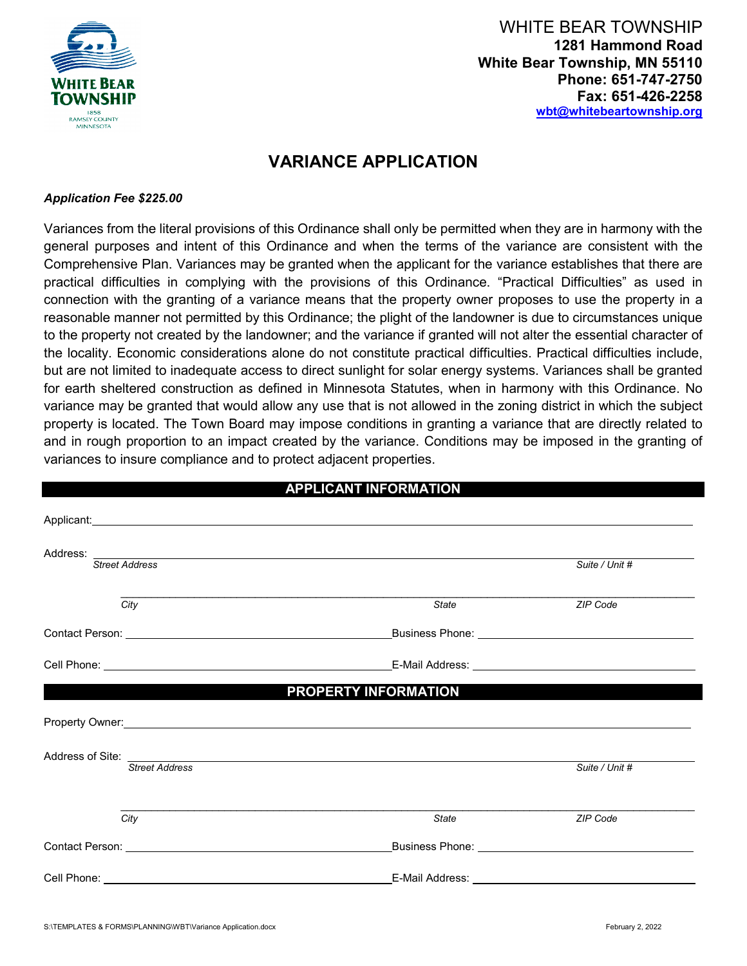

WHITE BEAR TOWNSHIP **1281 Hammond Road White Bear Township, MN 55110 Phone: 651-747-2750 Fax: 651-426-2258 [wbt@](mailto:wbt)whitebeartownship.org**

# **VARIANCE APPLICATION**

#### *Application Fee \$225.00*

Variances from the literal provisions of this Ordinance shall only be permitted when they are in harmony with the general purposes and intent of this Ordinance and when the terms of the variance are consistent with the Comprehensive Plan. Variances may be granted when the applicant for the variance establishes that there are practical difficulties in complying with the provisions of this Ordinance. "Practical Difficulties" as used in connection with the granting of a variance means that the property owner proposes to use the property in a reasonable manner not permitted by this Ordinance; the plight of the landowner is due to circumstances unique to the property not created by the landowner; and the variance if granted will not alter the essential character of the locality. Economic considerations alone do not constitute practical difficulties. Practical difficulties include, but are not limited to inadequate access to direct sunlight for solar energy systems. Variances shall be granted for earth sheltered construction as defined in Minnesota Statutes, when in harmony with this Ordinance. No variance may be granted that would allow any use that is not allowed in the zoning district in which the subject property is located. The Town Board may impose conditions in granting a variance that are directly related to and in rough proportion to an impact created by the variance. Conditions may be imposed in the granting of variances to insure compliance and to protect adjacent properties.

|                                                                                                                                                                                                                                | <b>APPLICANT INFORMATION</b> |                |
|--------------------------------------------------------------------------------------------------------------------------------------------------------------------------------------------------------------------------------|------------------------------|----------------|
| Applicant: <u>Applicant</u> Construction Construction Construction Construction Construction Construction Construction                                                                                                         |                              |                |
| Address: Street Address Andress Street Address Andress Address Andress Andress Address Andress Andress Andress Andress Andress Andress Andress Andress Andress Andress Andress Andress Andress Andress Andress Andress Andress |                              | Suite / Unit # |
|                                                                                                                                                                                                                                |                              |                |
| City                                                                                                                                                                                                                           | <b>State</b>                 | ZIP Code       |
|                                                                                                                                                                                                                                |                              |                |
|                                                                                                                                                                                                                                |                              |                |
|                                                                                                                                                                                                                                | <b>PROPERTY INFORMATION</b>  |                |
|                                                                                                                                                                                                                                |                              |                |
| Address of Site:<br>Street Address                                                                                                                                                                                             |                              | Suite / Unit # |
|                                                                                                                                                                                                                                |                              |                |
| City                                                                                                                                                                                                                           | State                        | ZIP Code       |
| Contact Person: New York Contact Person:                                                                                                                                                                                       |                              |                |
| Cell Phone: <u>_____________________________</u>                                                                                                                                                                               | E-Mail Address: ____         |                |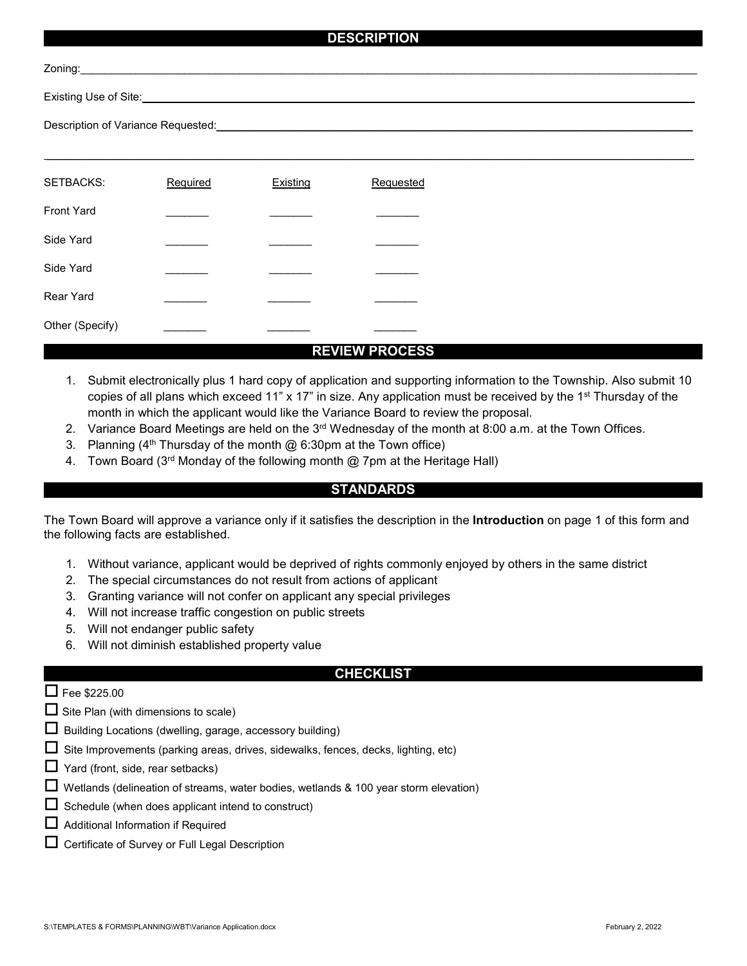## **DESCRIPTION**

| SETBACKS:         | Required | Existing | Requested |
|-------------------|----------|----------|-----------|
|                   |          |          |           |
| <b>Front Yard</b> |          |          |           |
| Side Yard         |          |          |           |
|                   |          |          |           |
| Side Yard         |          |          |           |
| <b>Rear Yard</b>  |          |          |           |
|                   |          |          |           |
| Other (Specify)   |          |          |           |

### **REVIEW PROCESS**

- 1. Submit electronically plus 1 hard copy of application and supporting information to the Township. Also submit 10 copies of all plans which exceed 11" x 17" in size. Any application must be received by the 1<sup>st</sup> Thursday of the month in which the applicant would like the Variance Board to review the proposal.
- 2. Variance Board Meetings are held on the 3<sup>rd</sup> Wednesday of the month at 8:00 a.m. at the Town Offices.
- 3. Planning  $(4^{th}$  Thursday of the month  $@$  6:30pm at the Town office)
- 4. Town Board (3<sup>rd</sup> Monday of the following month @ 7pm at the Heritage Hall)

#### **STANDARDS**

The Town Board will approve a variance only if it satisfies the description in the **Introduction** on page 1 of this form and the following facts are established.

- 1. Without variance, applicant would be deprived of rights commonly enjoyed by others in the same district
- 2. The special circumstances do not result from actions of applicant
- 3. Granting variance will not confer on applicant any special privileges
- 4. Will not increase traffic congestion on public streets
- 5. Will not endanger public safety
- 6. Will not diminish established property value

#### **CHECKLIST**

## $\Box$  Fee \$225.00

- $\Box$  Site Plan (with dimensions to scale)
- $\Box$  Building Locations (dwelling, garage, accessory building)
- $\Box$  Site Improvements (parking areas, drives, sidewalks, fences, decks, lighting, etc)
- $\Box$  Yard (front, side, rear setbacks)
- $\Box$  Wetlands (delineation of streams, water bodies, wetlands & 100 year storm elevation)
- $\Box$  Schedule (when does applicant intend to construct)
- Additional Information if Required
- Certificate of Survey or Full Legal Description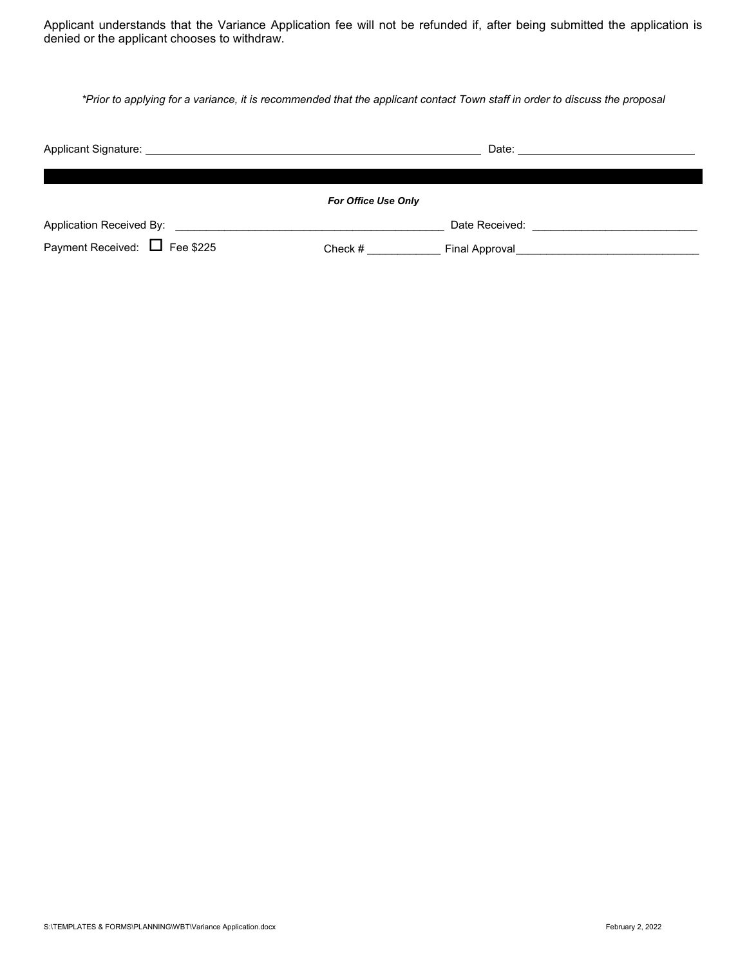Applicant understands that the Variance Application fee will not be refunded if, after being submitted the application is denied or the applicant chooses to withdraw.

*\*Prior to applying for a variance, it is recommended that the applicant contact Town staff in order to discuss the proposal*

| Applicant Signature: <u>Contract Contract Contract Contract Contract Contract Contract Contract Contract Contract Contract Contract Contract Contract Contract Contract Contract Contract Contract Contract Contract Contract Co</u> |                            | Date: the contract of the contract of the contract of the contract of the contract of the contract of the contract of the contract of the contract of the contract of the contract of the contract of the contract of the cont |
|--------------------------------------------------------------------------------------------------------------------------------------------------------------------------------------------------------------------------------------|----------------------------|--------------------------------------------------------------------------------------------------------------------------------------------------------------------------------------------------------------------------------|
|                                                                                                                                                                                                                                      | <b>For Office Use Only</b> |                                                                                                                                                                                                                                |
| Application Received By:                                                                                                                                                                                                             |                            | Date Received:                                                                                                                                                                                                                 |
| Payment Received: $\Box$ Fee \$225                                                                                                                                                                                                   | Check #                    | Final Approval                                                                                                                                                                                                                 |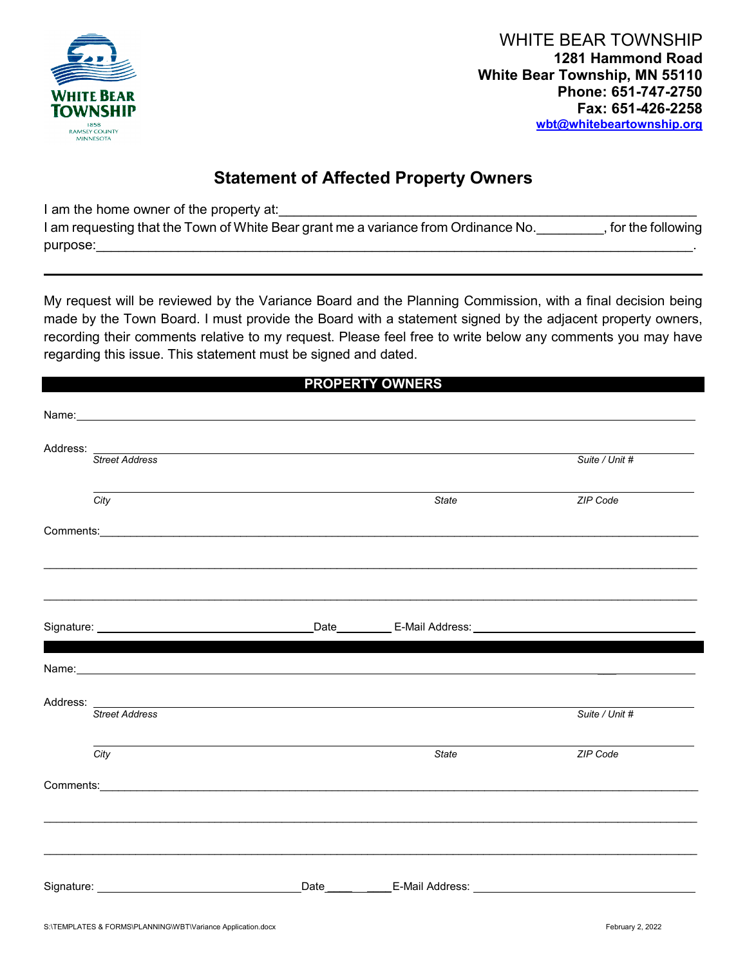

WHITE BEAR TOWNSHIP **1281 Hammond Road White Bear Township, MN 55110 Phone: 651-747-2750 Fax: 651-426-2258 [wbt@](mailto:wbt)whitebeartownship.org**

## **Statement of Affected Property Owners**

I am the home owner of the property at:

| I am requesting that the Town of White Bear grant me a variance from Ordinance No. | , for the following |
|------------------------------------------------------------------------------------|---------------------|
| purpose:                                                                           |                     |

My request will be reviewed by the Variance Board and the Planning Commission, with a final decision being made by the Town Board. I must provide the Board with a statement signed by the adjacent property owners, recording their comments relative to my request. Please feel free to write below any comments you may have regarding this issue. This statement must be signed and dated.

## **PROPERTY OWNERS**

|                                                                     | Address: Street Address Andress Address Address Address Address Address Address Address Andrew Address Address Address Address Address Address Address Address Address Address Address Address Address Address Address Address     |       | Suite / Unit # |
|---------------------------------------------------------------------|------------------------------------------------------------------------------------------------------------------------------------------------------------------------------------------------------------------------------------|-------|----------------|
| City                                                                |                                                                                                                                                                                                                                    | State | ZIP Code       |
|                                                                     | Comments: <u>Comments: Comments:</u> Comments: Comments: Comments: Comments: Comments: Comments: Comments: Comments: Comments: Comments: Comments: Comments: Comments: Comments: Comments: Comments: Comments: Comments: Comments: |       |                |
|                                                                     |                                                                                                                                                                                                                                    |       |                |
|                                                                     |                                                                                                                                                                                                                                    |       |                |
|                                                                     |                                                                                                                                                                                                                                    |       |                |
|                                                                     | Name: Name: Name: Name: Name: Name: Name: Name: Name: Name: Name: Name: Name: Name: Name: Name: Name: Name: Name: Name: Name: Name: Name: Name: Name: Name: Name: Name: Name: Name: Name: Name: Name: Name: Name: Name: Name:      |       |                |
| <b>Street Address</b>                                               |                                                                                                                                                                                                                                    |       | Suite / Unit # |
| City                                                                |                                                                                                                                                                                                                                    | State | ZIP Code       |
|                                                                     |                                                                                                                                                                                                                                    |       |                |
|                                                                     |                                                                                                                                                                                                                                    |       |                |
|                                                                     |                                                                                                                                                                                                                                    |       |                |
|                                                                     |                                                                                                                                                                                                                                    |       |                |
| Signature: <u>www.common.common.common.common.common.common.com</u> |                                                                                                                                                                                                                                    |       |                |
|                                                                     |                                                                                                                                                                                                                                    |       |                |